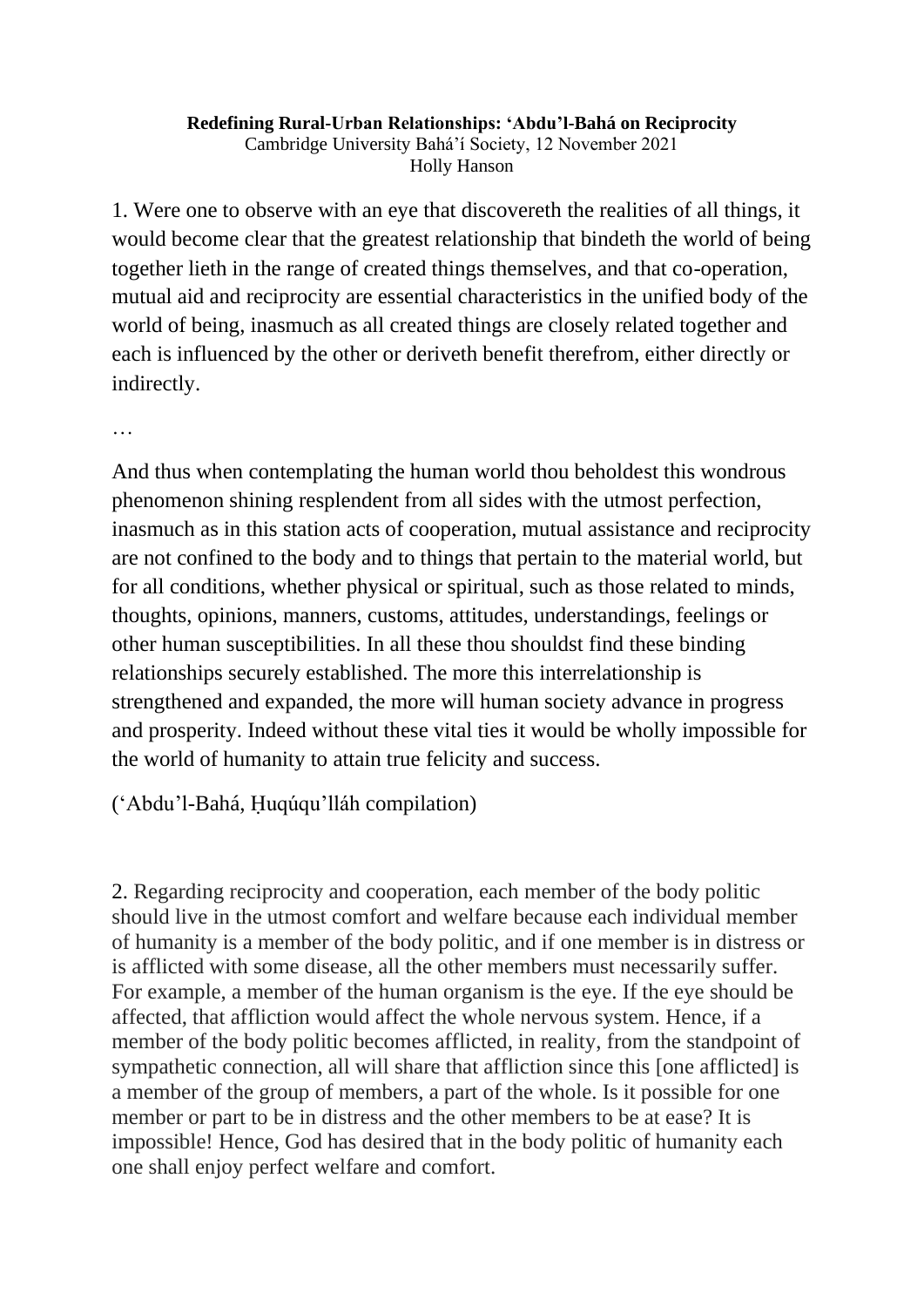## **Redefining Rural-Urban Relationships: 'Abdu'l-Bahá on Reciprocity** Cambridge University Bahá'í Society, 12 November 2021 Holly Hanson

1. Were one to observe with an eye that discovereth the realities of all things, it would become clear that the greatest relationship that bindeth the world of being together lieth in the range of created things themselves, and that co-operation, mutual aid and reciprocity are essential characteristics in the unified body of the world of being, inasmuch as all created things are closely related together and each is influenced by the other or deriveth benefit therefrom, either directly or indirectly.

…

And thus when contemplating the human world thou beholdest this wondrous phenomenon shining resplendent from all sides with the utmost perfection, inasmuch as in this station acts of cooperation, mutual assistance and reciprocity are not confined to the body and to things that pertain to the material world, but for all conditions, whether physical or spiritual, such as those related to minds, thoughts, opinions, manners, customs, attitudes, understandings, feelings or other human susceptibilities. In all these thou shouldst find these binding relationships securely established. The more this interrelationship is strengthened and expanded, the more will human society advance in progress and prosperity. Indeed without these vital ties it would be wholly impossible for the world of humanity to attain true felicity and success.

('Abdu'l-Bahá, Ḥuqúqu'lláh compilation)

2. Regarding reciprocity and cooperation, each member of the body politic should live in the utmost comfort and welfare because each individual member of humanity is a member of the body politic, and if one member is in distress or is afflicted with some disease, all the other members must necessarily suffer. For example, a member of the human organism is the eye. If the eye should be affected, that affliction would affect the whole nervous system. Hence, if a member of the body politic becomes afflicted, in reality, from the standpoint of sympathetic connection, all will share that affliction since this [one afflicted] is a member of the group of members, a part of the whole. Is it possible for one member or part to be in distress and the other members to be at ease? It is impossible! Hence, God has desired that in the body politic of humanity each one shall enjoy perfect welfare and comfort.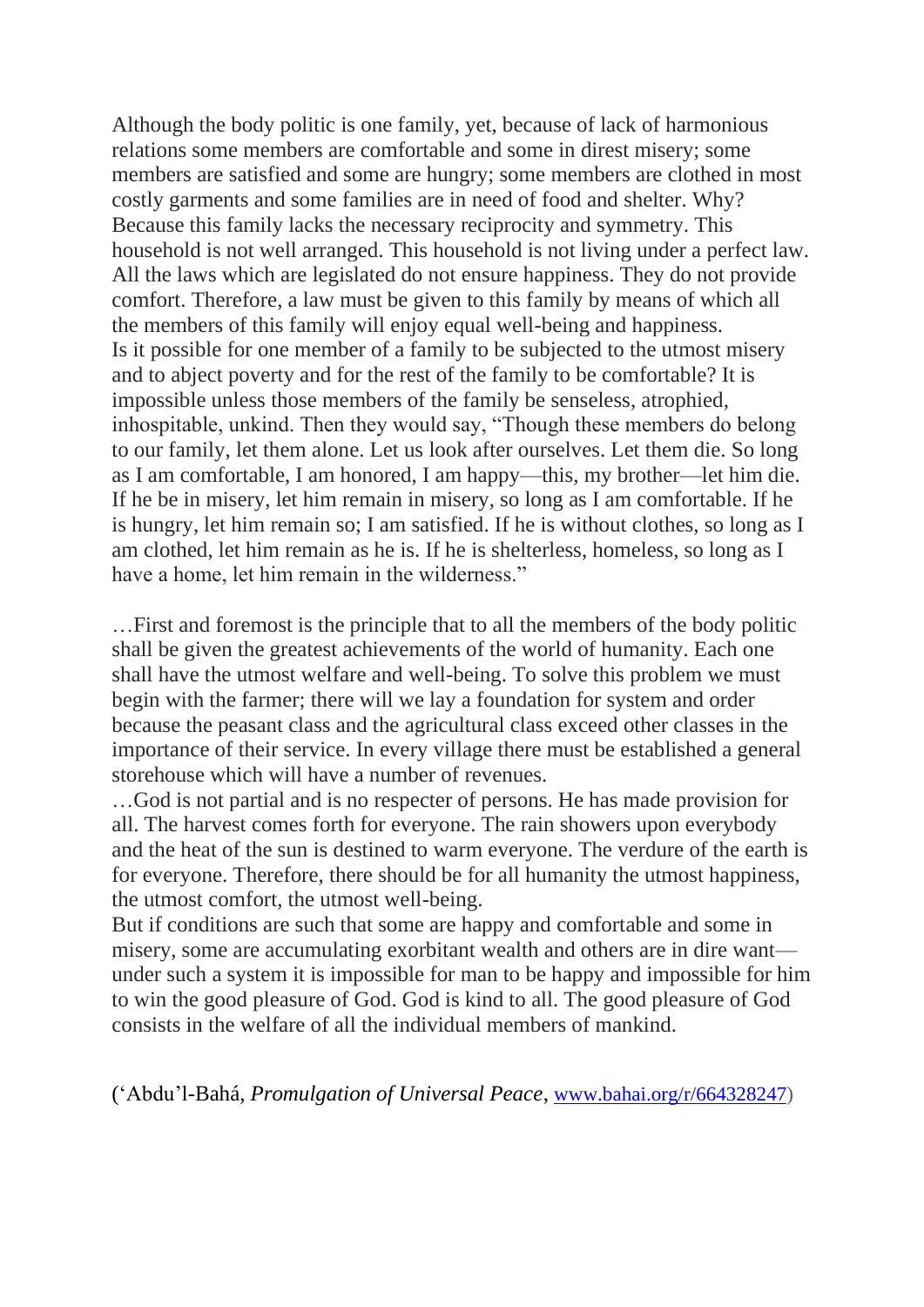Although the body politic is one family, yet, because of lack of harmonious relations some members are comfortable and some in direst misery; some members are satisfied and some are hungry; some members are clothed in most costly garments and some families are in need of food and shelter. Why? Because this family lacks the necessary reciprocity and symmetry. This household is not well arranged. This household is not living under a perfect law. All the laws which are legislated do not ensure happiness. They do not provide comfort. Therefore, a law must be given to this family by means of which all the members of this family will enjoy equal well-being and happiness. Is it possible for one member of a family to be subjected to the utmost misery and to abject poverty and for the rest of the family to be comfortable? It is impossible unless those members of the family be senseless, atrophied, inhospitable, unkind. Then they would say, "Though these members do belong to our family, let them alone. Let us look after ourselves. Let them die. So long as I am comfortable, I am honored, I am happy—this, my brother—let him die. If he be in misery, let him remain in misery, so long as I am comfortable. If he is hungry, let him remain so; I am satisfied. If he is without clothes, so long as I am clothed, let him remain as he is. If he is shelterless, homeless, so long as I have a home, let him remain in the wilderness."

…First and foremost is the principle that to all the members of the body politic shall be given the greatest achievements of the world of humanity. Each one shall have the utmost welfare and well-being. To solve this problem we must begin with the farmer; there will we lay a foundation for system and order because the peasant class and the agricultural class exceed other classes in the importance of their service. In every village there must be established a general storehouse which will have a number of revenues.

…God is not partial and is no respecter of persons. He has made provision for all. The harvest comes forth for everyone. The rain showers upon everybody and the heat of the sun is destined to warm everyone. The verdure of the earth is for everyone. Therefore, there should be for all humanity the utmost happiness, the utmost comfort, the utmost well-being.

But if conditions are such that some are happy and comfortable and some in misery, some are accumulating exorbitant wealth and others are in dire want under such a system it is impossible for man to be happy and impossible for him to win the good pleasure of God. God is kind to all. The good pleasure of God consists in the welfare of all the individual members of mankind.

('Abdu'l-Bahá, *Promulgation of Universal Peace*, [www.bahai.org/r/664328247\)](http://www.bahai.org/r/664328247)